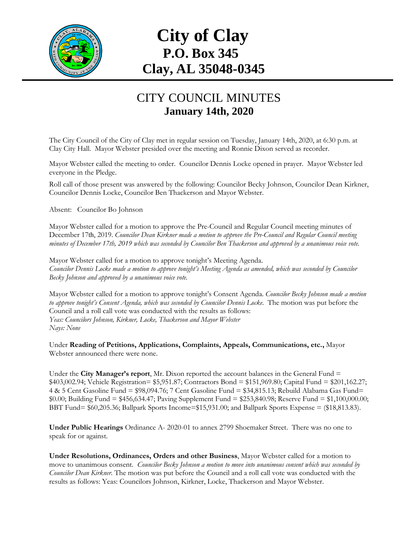

## **City of Clay P.O. Box 345 Clay, AL 35048-0345**

## CITY COUNCIL MINUTES **January 14th, 2020**

The City Council of the City of Clay met in regular session on Tuesday, January 14th, 2020, at 6:30 p.m. at Clay City Hall. Mayor Webster presided over the meeting and Ronnie Dixon served as recorder.

Mayor Webster called the meeting to order. Councilor Dennis Locke opened in prayer. Mayor Webster led everyone in the Pledge.

Roll call of those present was answered by the following: Councilor Becky Johnson, Councilor Dean Kirkner, Councilor Dennis Locke, Councilor Ben Thackerson and Mayor Webster.

Absent: Councilor Bo Johnson

Mayor Webster called for a motion to approve the Pre-Council and Regular Council meeting minutes of December 17th, 2019. *Councilor Dean Kirkner made a motion to approve the Pre-Council and Regular Council meeting minutes of December 17th, 2019 which was seconded by Councilor Ben Thackerson and approved by a unanimous voice vote.*

Mayor Webster called for a motion to approve tonight's Meeting Agenda. *Councilor Dennis Locke made a motion to approve tonight's Meeting Agenda as amended, which was seconded by Councilor Becky Johnson and approved by a unanimous voice vote.*

Mayor Webster called for a motion to approve tonight's Consent Agenda. *Councilor Becky Johnson made a motion to approve tonight's Consent Agenda, which was seconded by Councilor Dennis Locke.* The motion was put before the Council and a roll call vote was conducted with the results as follows: *Yeas: Councilors Johnson, Kirkner, Locke, Thackerson and Mayor Webster Nays: None*

Under **Reading of Petitions, Applications, Complaints, Appeals, Communications, etc.,** Mayor Webster announced there were none.

Under the **City Manager's report**, Mr. Dixon reported the account balances in the General Fund = \$403,002.94; Vehicle Registration= \$5,951.87; Contractors Bond = \$151,969.80; Capital Fund = \$201,162.27; 4 & 5 Cent Gasoline Fund = \$98,094.76; 7 Cent Gasoline Fund = \$34,815.13; Rebuild Alabama Gas Fund= \$0.00; Building Fund = \$456,634.47; Paving Supplement Fund = \$253,840.98; Reserve Fund = \$1,100,000.00; BBT Fund= \$60,205.36; Ballpark Sports Income=\$15,931.00; and Ballpark Sports Expense = (\$18,813.83).

**Under Public Hearings** Ordinance A- 2020-01 to annex 2799 Shoemaker Street. There was no one to speak for or against.

**Under Resolutions, Ordinances, Orders and other Business**, Mayor Webster called for a motion to move to unanimous consent. *Councilor Becky Johnson a motion to move into unanimous consent which was seconded by Councilor Dean Kirkner*. The motion was put before the Council and a roll call vote was conducted with the results as follows: Yeas: Councilors Johnson, Kirkner, Locke, Thackerson and Mayor Webster.